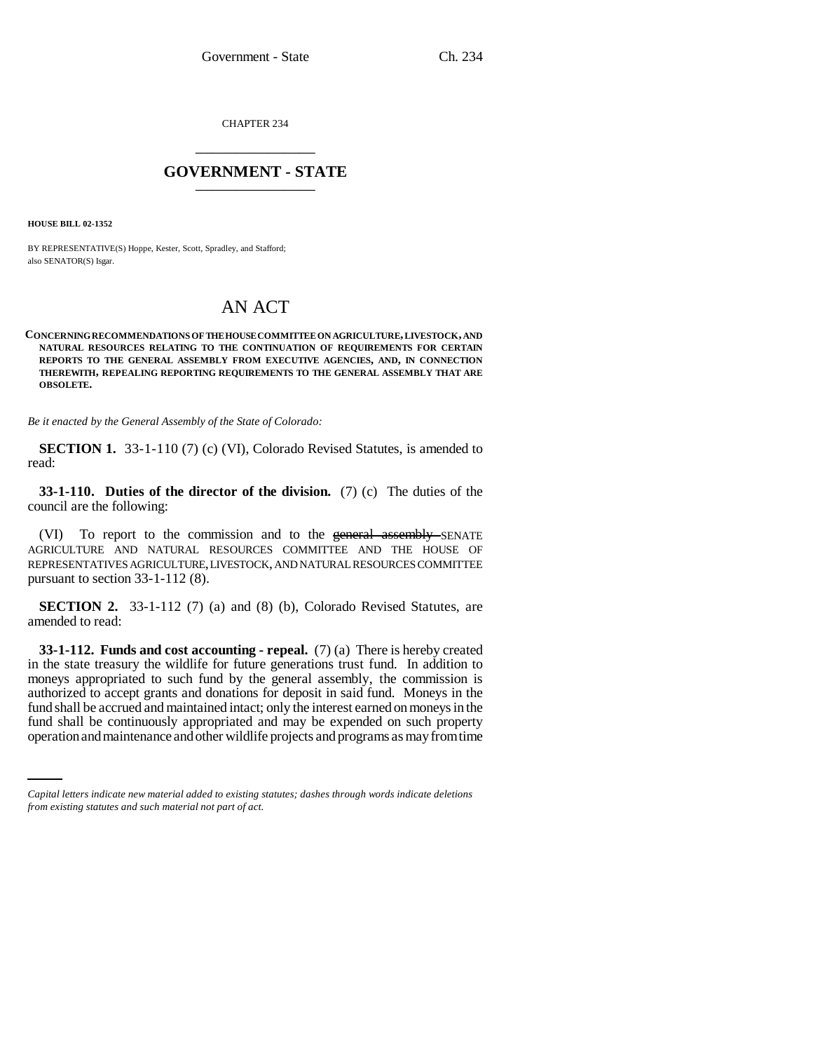CHAPTER 234 \_\_\_\_\_\_\_\_\_\_\_\_\_\_\_

## **GOVERNMENT - STATE** \_\_\_\_\_\_\_\_\_\_\_\_\_\_\_

**HOUSE BILL 02-1352**

BY REPRESENTATIVE(S) Hoppe, Kester, Scott, Spradley, and Stafford; also SENATOR(S) Isgar.

## AN ACT

**CONCERNING RECOMMENDATIONS OF THE HOUSE COMMITTEE ON AGRICULTURE, LIVESTOCK, AND NATURAL RESOURCES RELATING TO THE CONTINUATION OF REQUIREMENTS FOR CERTAIN REPORTS TO THE GENERAL ASSEMBLY FROM EXECUTIVE AGENCIES, AND, IN CONNECTION THEREWITH, REPEALING REPORTING REQUIREMENTS TO THE GENERAL ASSEMBLY THAT ARE OBSOLETE.**

*Be it enacted by the General Assembly of the State of Colorado:*

**SECTION 1.** 33-1-110 (7) (c) (VI), Colorado Revised Statutes, is amended to read:

**33-1-110. Duties of the director of the division.** (7) (c) The duties of the council are the following:

(VI) To report to the commission and to the general assembly SENATE AGRICULTURE AND NATURAL RESOURCES COMMITTEE AND THE HOUSE OF REPRESENTATIVES AGRICULTURE, LIVESTOCK, AND NATURAL RESOURCES COMMITTEE pursuant to section 33-1-112 (8).

**SECTION 2.** 33-1-112 (7) (a) and (8) (b), Colorado Revised Statutes, are amended to read:

fund shall be accrued and maintained intact; only the interest earned on moneys in the **33-1-112. Funds and cost accounting - repeal.** (7) (a) There is hereby created in the state treasury the wildlife for future generations trust fund. In addition to moneys appropriated to such fund by the general assembly, the commission is authorized to accept grants and donations for deposit in said fund. Moneys in the fund shall be continuously appropriated and may be expended on such property operation and maintenance and other wildlife projects and programs as may from time

*Capital letters indicate new material added to existing statutes; dashes through words indicate deletions from existing statutes and such material not part of act.*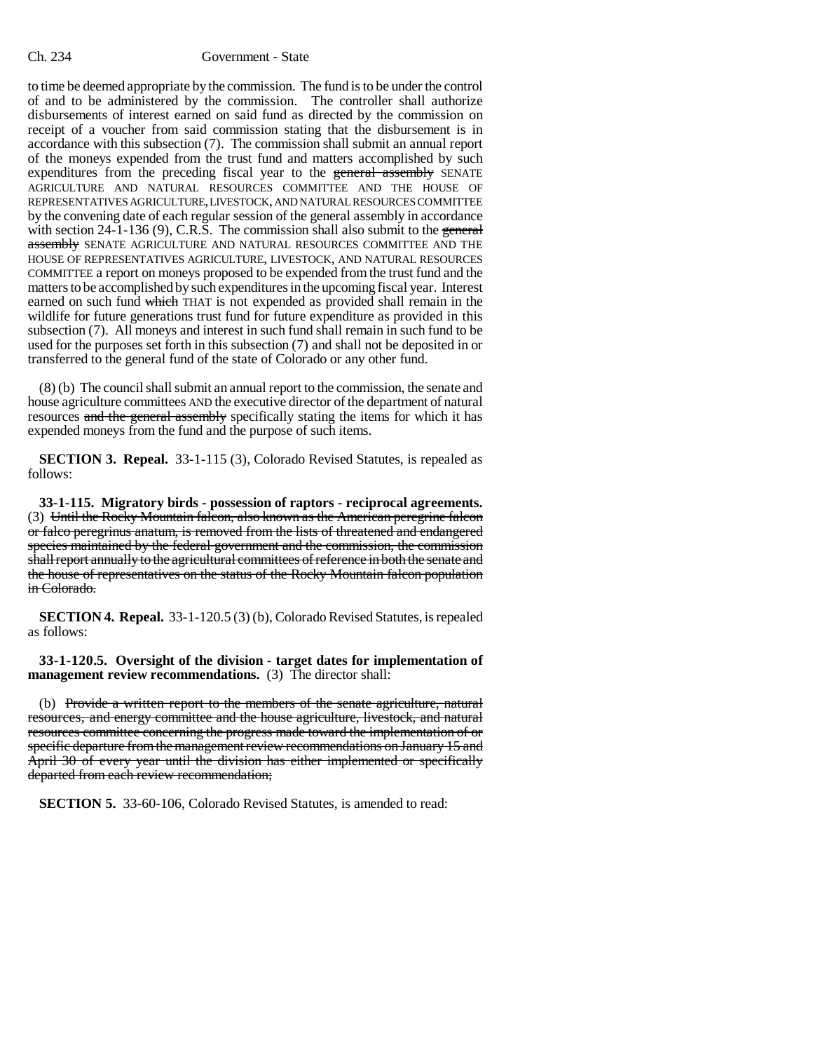to time be deemed appropriate by the commission. The fund is to be under the control of and to be administered by the commission. The controller shall authorize disbursements of interest earned on said fund as directed by the commission on receipt of a voucher from said commission stating that the disbursement is in accordance with this subsection (7). The commission shall submit an annual report of the moneys expended from the trust fund and matters accomplished by such expenditures from the preceding fiscal year to the general assembly SENATE AGRICULTURE AND NATURAL RESOURCES COMMITTEE AND THE HOUSE OF REPRESENTATIVES AGRICULTURE, LIVESTOCK, AND NATURAL RESOURCES COMMITTEE by the convening date of each regular session of the general assembly in accordance with section 24-1-136 (9), C.R.S. The commission shall also submit to the general assembly SENATE AGRICULTURE AND NATURAL RESOURCES COMMITTEE AND THE HOUSE OF REPRESENTATIVES AGRICULTURE, LIVESTOCK, AND NATURAL RESOURCES COMMITTEE a report on moneys proposed to be expended from the trust fund and the matters to be accomplished by such expenditures in the upcoming fiscal year. Interest earned on such fund which THAT is not expended as provided shall remain in the wildlife for future generations trust fund for future expenditure as provided in this subsection (7). All moneys and interest in such fund shall remain in such fund to be used for the purposes set forth in this subsection (7) and shall not be deposited in or transferred to the general fund of the state of Colorado or any other fund.

(8) (b) The council shall submit an annual report to the commission, the senate and house agriculture committees AND the executive director of the department of natural resources and the general assembly specifically stating the items for which it has expended moneys from the fund and the purpose of such items.

**SECTION 3. Repeal.** 33-1-115 (3), Colorado Revised Statutes, is repealed as follows:

**33-1-115. Migratory birds - possession of raptors - reciprocal agreements.** (3) Until the Rocky Mountain falcon, also known as the American peregrine falcon or falco peregrinus anatum, is removed from the lists of threatened and endangered species maintained by the federal government and the commission, the commission shall report annually to the agricultural committees of reference in both the senate and the house of representatives on the status of the Rocky Mountain falcon population in Colorado.

**SECTION 4. Repeal.** 33-1-120.5 (3) (b), Colorado Revised Statutes, is repealed as follows:

**33-1-120.5. Oversight of the division - target dates for implementation of management review recommendations.** (3) The director shall:

(b) Provide a written report to the members of the senate agriculture, natural resources, and energy committee and the house agriculture, livestock, and natural resources committee concerning the progress made toward the implementation of or specific departure from the management review recommendations on January 15 and April 30 of every year until the division has either implemented or specifically departed from each review recommendation;

**SECTION 5.** 33-60-106, Colorado Revised Statutes, is amended to read: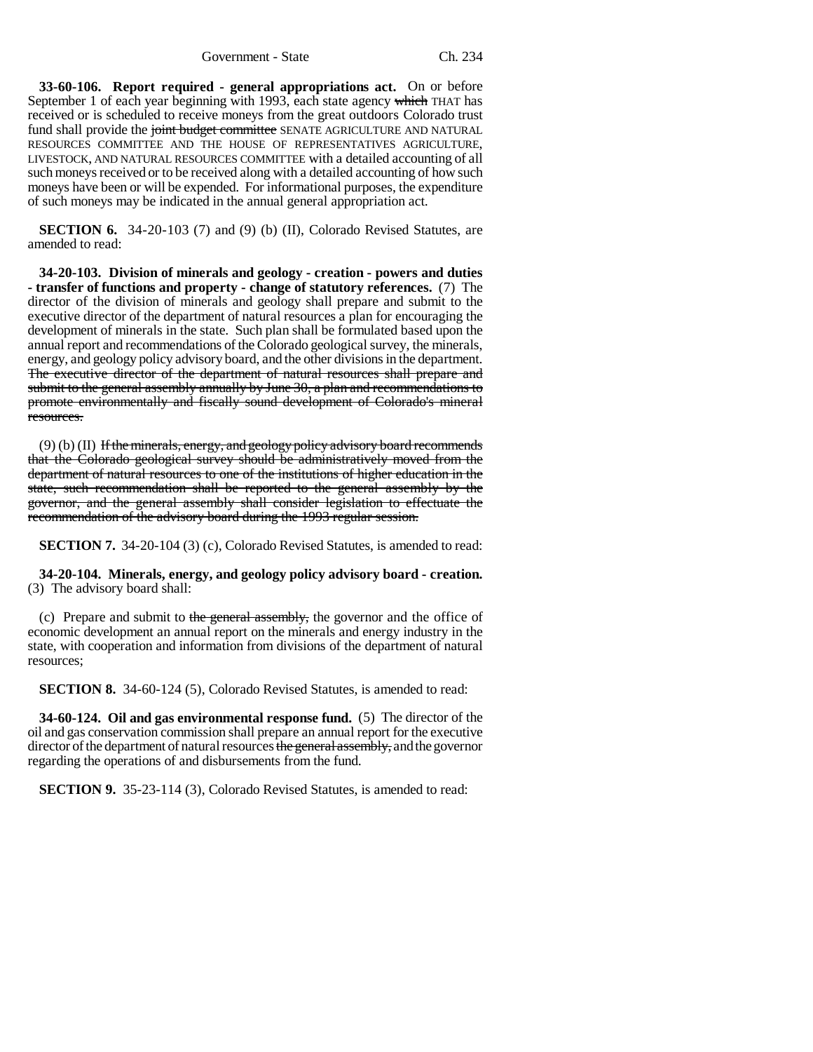Government - State Ch. 234

**33-60-106. Report required - general appropriations act.** On or before September 1 of each year beginning with 1993, each state agency which THAT has received or is scheduled to receive moneys from the great outdoors Colorado trust fund shall provide the joint budget committee SENATE AGRICULTURE AND NATURAL RESOURCES COMMITTEE AND THE HOUSE OF REPRESENTATIVES AGRICULTURE, LIVESTOCK, AND NATURAL RESOURCES COMMITTEE with a detailed accounting of all such moneys received or to be received along with a detailed accounting of how such moneys have been or will be expended. For informational purposes, the expenditure of such moneys may be indicated in the annual general appropriation act.

**SECTION 6.** 34-20-103 (7) and (9) (b) (II), Colorado Revised Statutes, are amended to read:

**34-20-103. Division of minerals and geology - creation - powers and duties - transfer of functions and property - change of statutory references.** (7) The director of the division of minerals and geology shall prepare and submit to the executive director of the department of natural resources a plan for encouraging the development of minerals in the state. Such plan shall be formulated based upon the annual report and recommendations of the Colorado geological survey, the minerals, energy, and geology policy advisory board, and the other divisions in the department. The executive director of the department of natural resources shall prepare and submit to the general assembly annually by June 30, a plan and recommendations to promote environmentally and fiscally sound development of Colorado's mineral resources.

(9) (b) (II) If the minerals, energy, and geology policy advisory board recommends that the Colorado geological survey should be administratively moved from the department of natural resources to one of the institutions of higher education in the state, such recommendation shall be reported to the general assembly by the governor, and the general assembly shall consider legislation to effectuate the recommendation of the advisory board during the 1993 regular session.

**SECTION 7.** 34-20-104 (3) (c), Colorado Revised Statutes, is amended to read:

**34-20-104. Minerals, energy, and geology policy advisory board - creation.** (3) The advisory board shall:

(c) Prepare and submit to the general assembly, the governor and the office of economic development an annual report on the minerals and energy industry in the state, with cooperation and information from divisions of the department of natural resources;

**SECTION 8.** 34-60-124 (5), Colorado Revised Statutes, is amended to read:

**34-60-124. Oil and gas environmental response fund.** (5) The director of the oil and gas conservation commission shall prepare an annual report for the executive director of the department of natural resources the general assembly, and the governor regarding the operations of and disbursements from the fund.

**SECTION 9.** 35-23-114 (3), Colorado Revised Statutes, is amended to read: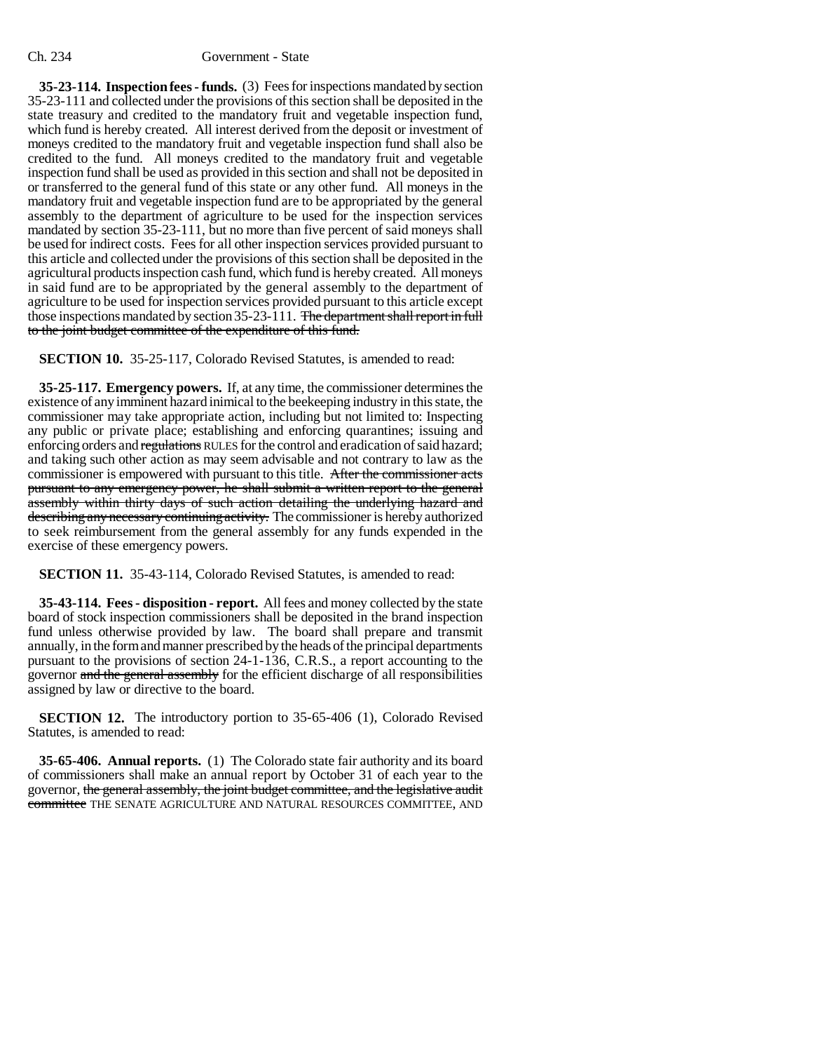## Ch. 234 Government - State

**35-23-114. Inspection fees - funds.** (3) Fees for inspections mandated by section 35-23-111 and collected under the provisions of this section shall be deposited in the state treasury and credited to the mandatory fruit and vegetable inspection fund, which fund is hereby created. All interest derived from the deposit or investment of moneys credited to the mandatory fruit and vegetable inspection fund shall also be credited to the fund. All moneys credited to the mandatory fruit and vegetable inspection fund shall be used as provided in this section and shall not be deposited in or transferred to the general fund of this state or any other fund. All moneys in the mandatory fruit and vegetable inspection fund are to be appropriated by the general assembly to the department of agriculture to be used for the inspection services mandated by section 35-23-111, but no more than five percent of said moneys shall be used for indirect costs. Fees for all other inspection services provided pursuant to this article and collected under the provisions of this section shall be deposited in the agricultural products inspection cash fund, which fund is hereby created. All moneys in said fund are to be appropriated by the general assembly to the department of agriculture to be used for inspection services provided pursuant to this article except those inspections mandated by section 35-23-111. The department shall report in full to the joint budget committee of the expenditure of this fund.

**SECTION 10.** 35-25-117, Colorado Revised Statutes, is amended to read:

**35-25-117. Emergency powers.** If, at any time, the commissioner determines the existence of any imminent hazard inimical to the beekeeping industry in this state, the commissioner may take appropriate action, including but not limited to: Inspecting any public or private place; establishing and enforcing quarantines; issuing and enforcing orders and regulations RULES for the control and eradication of said hazard; and taking such other action as may seem advisable and not contrary to law as the commissioner is empowered with pursuant to this title. After the commissioner acts pursuant to any emergency power, he shall submit a written report to the general assembly within thirty days of such action detailing the underlying hazard and describing any necessary continuing activity. The commissioner is hereby authorized to seek reimbursement from the general assembly for any funds expended in the exercise of these emergency powers.

**SECTION 11.** 35-43-114, Colorado Revised Statutes, is amended to read:

**35-43-114. Fees - disposition - report.** All fees and money collected by the state board of stock inspection commissioners shall be deposited in the brand inspection fund unless otherwise provided by law. The board shall prepare and transmit annually, in the form and manner prescribed by the heads of the principal departments pursuant to the provisions of section 24-1-136, C.R.S., a report accounting to the governor and the general assembly for the efficient discharge of all responsibilities assigned by law or directive to the board.

**SECTION 12.** The introductory portion to 35-65-406 (1), Colorado Revised Statutes, is amended to read:

**35-65-406. Annual reports.** (1) The Colorado state fair authority and its board of commissioners shall make an annual report by October 31 of each year to the governor, the general assembly, the joint budget committee, and the legislative audit committee THE SENATE AGRICULTURE AND NATURAL RESOURCES COMMITTEE, AND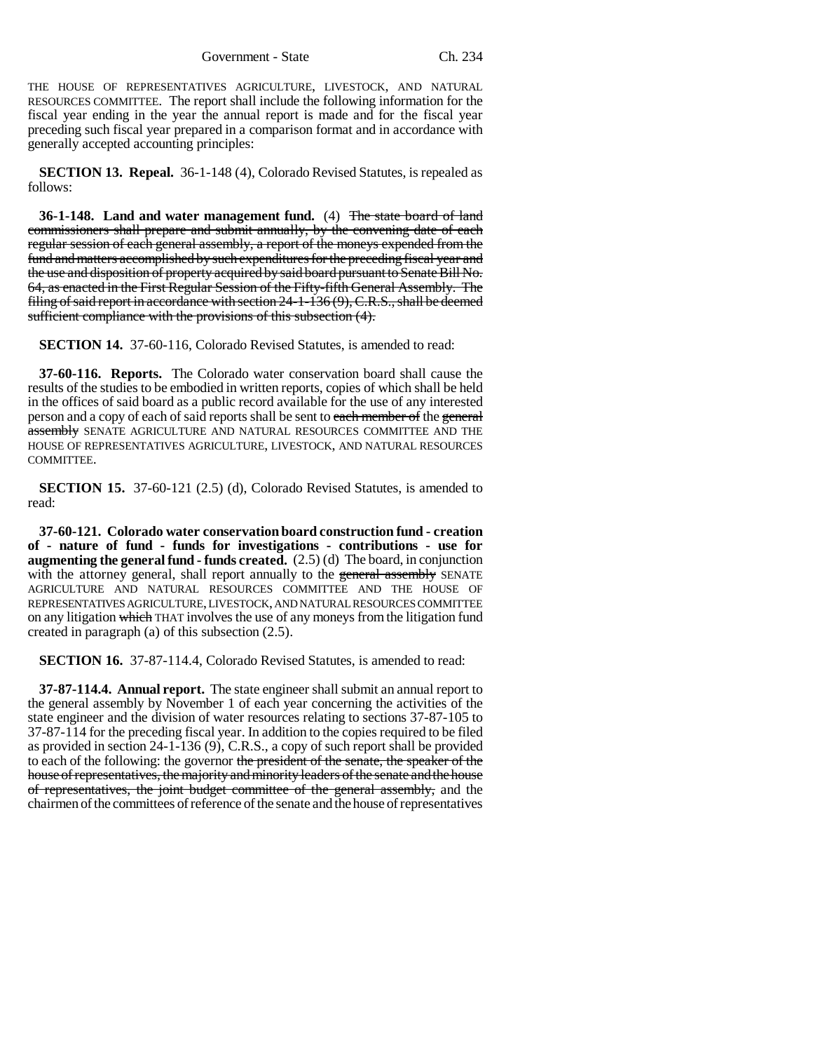THE HOUSE OF REPRESENTATIVES AGRICULTURE, LIVESTOCK, AND NATURAL RESOURCES COMMITTEE. The report shall include the following information for the fiscal year ending in the year the annual report is made and for the fiscal year preceding such fiscal year prepared in a comparison format and in accordance with generally accepted accounting principles:

**SECTION 13. Repeal.** 36-1-148 (4), Colorado Revised Statutes, is repealed as follows:

**36-1-148. Land and water management fund.** (4) The state board of land commissioners shall prepare and submit annually, by the convening date of each regular session of each general assembly, a report of the moneys expended from the fund and matters accomplished by such expenditures for the preceding fiscal year and the use and disposition of property acquired by said board pursuant to Senate Bill No. 64, as enacted in the First Regular Session of the Fifty-fifth General Assembly. The filing of said report in accordance with section 24-1-136 (9), C.R.S., shall be deemed sufficient compliance with the provisions of this subsection (4).

**SECTION 14.** 37-60-116, Colorado Revised Statutes, is amended to read:

**37-60-116. Reports.** The Colorado water conservation board shall cause the results of the studies to be embodied in written reports, copies of which shall be held in the offices of said board as a public record available for the use of any interested person and a copy of each of said reports shall be sent to each member of the general assembly SENATE AGRICULTURE AND NATURAL RESOURCES COMMITTEE AND THE HOUSE OF REPRESENTATIVES AGRICULTURE, LIVESTOCK, AND NATURAL RESOURCES COMMITTEE.

**SECTION 15.** 37-60-121 (2.5) (d), Colorado Revised Statutes, is amended to read:

**37-60-121. Colorado water conservation board construction fund - creation of - nature of fund - funds for investigations - contributions - use for augmenting the general fund - funds created.** (2.5) (d) The board, in conjunction with the attorney general, shall report annually to the general assembly SENATE AGRICULTURE AND NATURAL RESOURCES COMMITTEE AND THE HOUSE OF REPRESENTATIVES AGRICULTURE, LIVESTOCK, AND NATURAL RESOURCES COMMITTEE on any litigation which THAT involves the use of any moneys from the litigation fund created in paragraph (a) of this subsection (2.5).

**SECTION 16.** 37-87-114.4, Colorado Revised Statutes, is amended to read:

**37-87-114.4. Annual report.** The state engineer shall submit an annual report to the general assembly by November 1 of each year concerning the activities of the state engineer and the division of water resources relating to sections 37-87-105 to 37-87-114 for the preceding fiscal year. In addition to the copies required to be filed as provided in section 24-1-136 (9), C.R.S., a copy of such report shall be provided to each of the following: the governor the president of the senate, the speaker of the house of representatives, the majority and minority leaders of the senate and the house of representatives, the joint budget committee of the general assembly, and the chairmen of the committees of reference of the senate and the house of representatives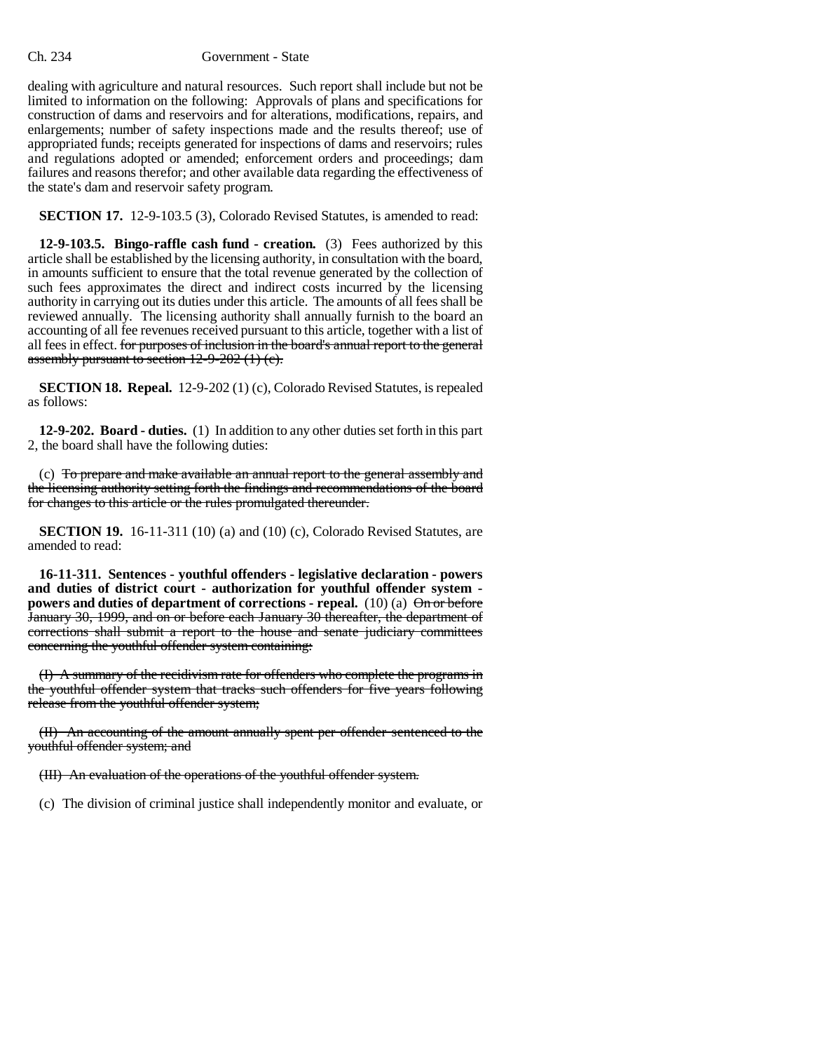## Ch. 234 Government - State

dealing with agriculture and natural resources. Such report shall include but not be limited to information on the following: Approvals of plans and specifications for construction of dams and reservoirs and for alterations, modifications, repairs, and enlargements; number of safety inspections made and the results thereof; use of appropriated funds; receipts generated for inspections of dams and reservoirs; rules and regulations adopted or amended; enforcement orders and proceedings; dam failures and reasons therefor; and other available data regarding the effectiveness of the state's dam and reservoir safety program.

**SECTION 17.** 12-9-103.5 (3), Colorado Revised Statutes, is amended to read:

**12-9-103.5. Bingo-raffle cash fund - creation.** (3) Fees authorized by this article shall be established by the licensing authority, in consultation with the board, in amounts sufficient to ensure that the total revenue generated by the collection of such fees approximates the direct and indirect costs incurred by the licensing authority in carrying out its duties under this article. The amounts of all fees shall be reviewed annually. The licensing authority shall annually furnish to the board an accounting of all fee revenues received pursuant to this article, together with a list of all fees in effect. for purposes of inclusion in the board's annual report to the general assembly pursuant to section  $12-9-202$  (1) (e).

**SECTION 18. Repeal.** 12-9-202 (1) (c), Colorado Revised Statutes, is repealed as follows:

**12-9-202. Board - duties.** (1) In addition to any other duties set forth in this part 2, the board shall have the following duties:

(c) To prepare and make available an annual report to the general assembly and the licensing authority setting forth the findings and recommendations of the board for changes to this article or the rules promulgated thereunder.

**SECTION 19.** 16-11-311 (10) (a) and (10) (c), Colorado Revised Statutes, are amended to read:

**16-11-311. Sentences - youthful offenders - legislative declaration - powers and duties of district court - authorization for youthful offender system powers and duties of department of corrections - repeal.** (10) (a)  $\Theta$  n or before January 30, 1999, and on or before each January 30 thereafter, the department of corrections shall submit a report to the house and senate judiciary committees concerning the youthful offender system containing:

(I) A summary of the recidivism rate for offenders who complete the programs in the youthful offender system that tracks such offenders for five years following release from the youthful offender system;

(II) An accounting of the amount annually spent per offender sentenced to the youthful offender system; and

(III) An evaluation of the operations of the youthful offender system.

(c) The division of criminal justice shall independently monitor and evaluate, or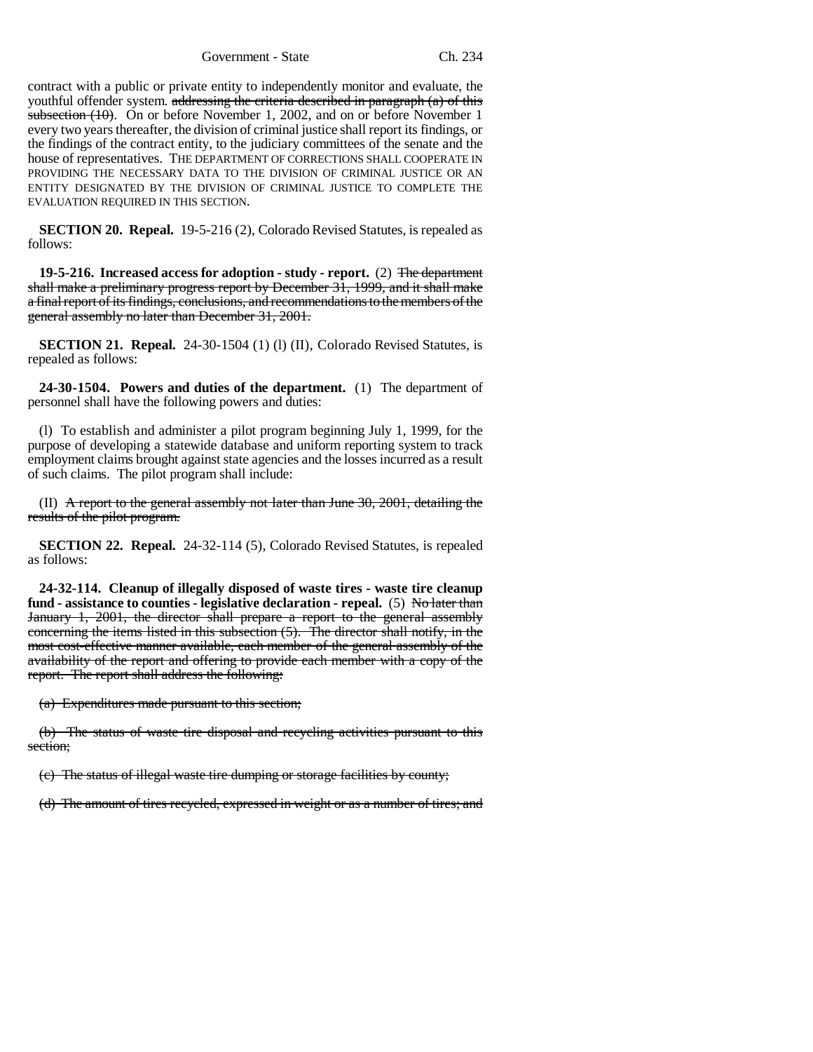Government - State Ch. 234

contract with a public or private entity to independently monitor and evaluate, the youthful offender system. addressing the criteria described in paragraph  $(a)$  of this subsection (10). On or before November 1, 2002, and on or before November 1 every two years thereafter, the division of criminal justice shall report its findings, or the findings of the contract entity, to the judiciary committees of the senate and the house of representatives. THE DEPARTMENT OF CORRECTIONS SHALL COOPERATE IN PROVIDING THE NECESSARY DATA TO THE DIVISION OF CRIMINAL JUSTICE OR AN ENTITY DESIGNATED BY THE DIVISION OF CRIMINAL JUSTICE TO COMPLETE THE EVALUATION REQUIRED IN THIS SECTION.

**SECTION 20. Repeal.** 19-5-216 (2), Colorado Revised Statutes, is repealed as follows:

**19-5-216. Increased access for adoption - study - report.** (2) The department shall make a preliminary progress report by December 31, 1999, and it shall make a final report of its findings, conclusions, and recommendations to the members of the general assembly no later than December 31, 2001.

**SECTION 21. Repeal.** 24-30-1504 (1) (I) (II), Colorado Revised Statutes, is repealed as follows:

**24-30-1504. Powers and duties of the department.** (1) The department of personnel shall have the following powers and duties:

(l) To establish and administer a pilot program beginning July 1, 1999, for the purpose of developing a statewide database and uniform reporting system to track employment claims brought against state agencies and the losses incurred as a result of such claims. The pilot program shall include:

(II) A report to the general assembly not later than June 30, 2001, detailing the results of the pilot program.

**SECTION 22. Repeal.** 24-32-114 (5), Colorado Revised Statutes, is repealed as follows:

**24-32-114. Cleanup of illegally disposed of waste tires - waste tire cleanup** fund - assistance to counties - legislative declaration - repeal. (5) No later than January 1, 2001, the director shall prepare a report to the general assembly concerning the items listed in this subsection (5). The director shall notify, in the most cost-effective manner available, each member of the general assembly of the availability of the report and offering to provide each member with a copy of the report. The report shall address the following:

(a) Expenditures made pursuant to this section;

(b) The status of waste tire disposal and recycling activities pursuant to this section;

(c) The status of illegal waste tire dumping or storage facilities by county;

(d) The amount of tires recycled, expressed in weight or as a number of tires; and